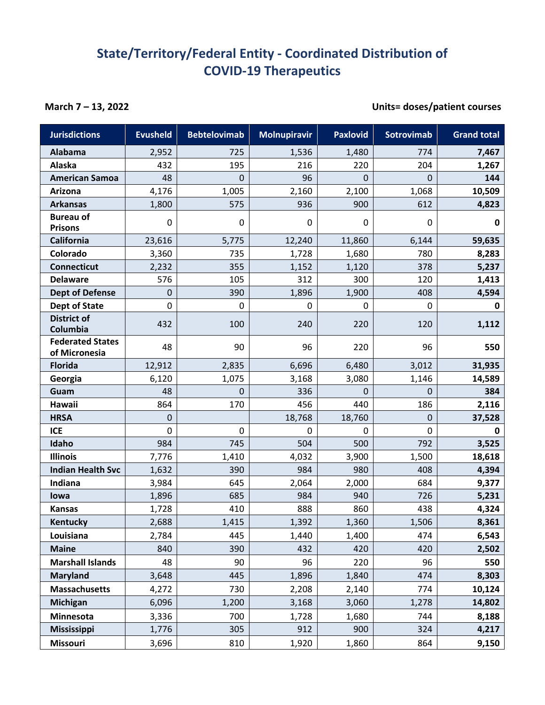## **State/Territory/Federal Entity - Coordinated Distribution of COVID-19 Therapeutics**

## **March 7 – 13, 2022 Units= doses/patient courses**

| <b>Jurisdictions</b>                     | <b>Evusheld</b> | <b>Bebtelovimab</b> | <b>Molnupiravir</b> | <b>Paxlovid</b> | Sotrovimab  | <b>Grand total</b> |
|------------------------------------------|-----------------|---------------------|---------------------|-----------------|-------------|--------------------|
| <b>Alabama</b>                           | 2,952           | 725                 | 1,536               | 1,480           | 774         | 7,467              |
| Alaska                                   | 432             | 195                 | 216                 | 220             | 204         | 1,267              |
| <b>American Samoa</b>                    | 48              | 0                   | 96                  | 0               | 0           | 144                |
| Arizona                                  | 4,176           | 1,005               | 2,160               | 2,100           | 1,068       | 10,509             |
| <b>Arkansas</b>                          | 1,800           | 575                 | 936                 | 900             | 612         | 4,823              |
| <b>Bureau of</b><br><b>Prisons</b>       | 0               | 0                   | 0                   | 0               | 0           | $\mathbf 0$        |
| California                               | 23,616          | 5,775               | 12,240              | 11,860          | 6,144       | 59,635             |
| Colorado                                 | 3,360           | 735                 | 1,728               | 1,680           | 780         | 8,283              |
| <b>Connecticut</b>                       | 2,232           | 355                 | 1,152               | 1,120           | 378         | 5,237              |
| <b>Delaware</b>                          | 576             | 105                 | 312                 | 300             | 120         | 1,413              |
| <b>Dept of Defense</b>                   | 0               | 390                 | 1,896               | 1,900           | 408         | 4,594              |
| Dept of State                            | 0               | 0                   | 0                   | 0               | 0           | $\mathbf 0$        |
| <b>District of</b><br>Columbia           | 432             | 100                 | 240                 | 220             | 120         | 1,112              |
| <b>Federated States</b><br>of Micronesia | 48              | 90                  | 96                  | 220             | 96          | 550                |
| <b>Florida</b>                           | 12,912          | 2,835               | 6,696               | 6,480           | 3,012       | 31,935             |
| Georgia                                  | 6,120           | 1,075               | 3,168               | 3,080           | 1,146       | 14,589             |
| Guam                                     | 48              | 0                   | 336                 | 0               | 0           | 384                |
| Hawaii                                   | 864             | 170                 | 456                 | 440             | 186         | 2,116              |
| <b>HRSA</b>                              | 0               |                     | 18,768              | 18,760          | 0           | 37,528             |
| <b>ICE</b>                               | 0               | $\pmb{0}$           | $\mathbf 0$         | 0               | $\mathbf 0$ | $\mathbf 0$        |
| Idaho                                    | 984             | 745                 | 504                 | 500             | 792         | 3,525              |
| <b>Illinois</b>                          | 7,776           | 1,410               | 4,032               | 3,900           | 1,500       | 18,618             |
| <b>Indian Health Svc</b>                 | 1,632           | 390                 | 984                 | 980             | 408         | 4,394              |
| Indiana                                  | 3,984           | 645                 | 2,064               | 2,000           | 684         | 9,377              |
| lowa                                     | 1,896           | 685                 | 984                 | 940             | 726         | 5,231              |
| <b>Kansas</b>                            | 1,728           | 410                 | 888                 | 860             | 438         | 4,324              |
| Kentucky                                 | 2,688           | 1,415               | 1,392               | 1,360           | 1,506       | 8,361              |
| Louisiana                                | 2,784           | 445                 | 1,440               | 1,400           | 474         | 6,543              |
| <b>Maine</b>                             | 840             | 390                 | 432                 | 420             | 420         | 2,502              |
| <b>Marshall Islands</b>                  | 48              | 90                  | 96                  | 220             | 96          | 550                |
| <b>Maryland</b>                          | 3,648           | 445                 | 1,896               | 1,840           | 474         | 8,303              |
| <b>Massachusetts</b>                     | 4,272           | 730                 | 2,208               | 2,140           | 774         | 10,124             |
| Michigan                                 | 6,096           | 1,200               | 3,168               | 3,060           | 1,278       | 14,802             |
| Minnesota                                | 3,336           | 700                 | 1,728               | 1,680           | 744         | 8,188              |
| <b>Mississippi</b>                       | 1,776           | 305                 | 912                 | 900             | 324         | 4,217              |
| <b>Missouri</b>                          | 3,696           | 810                 | 1,920               | 1,860           | 864         | 9,150              |